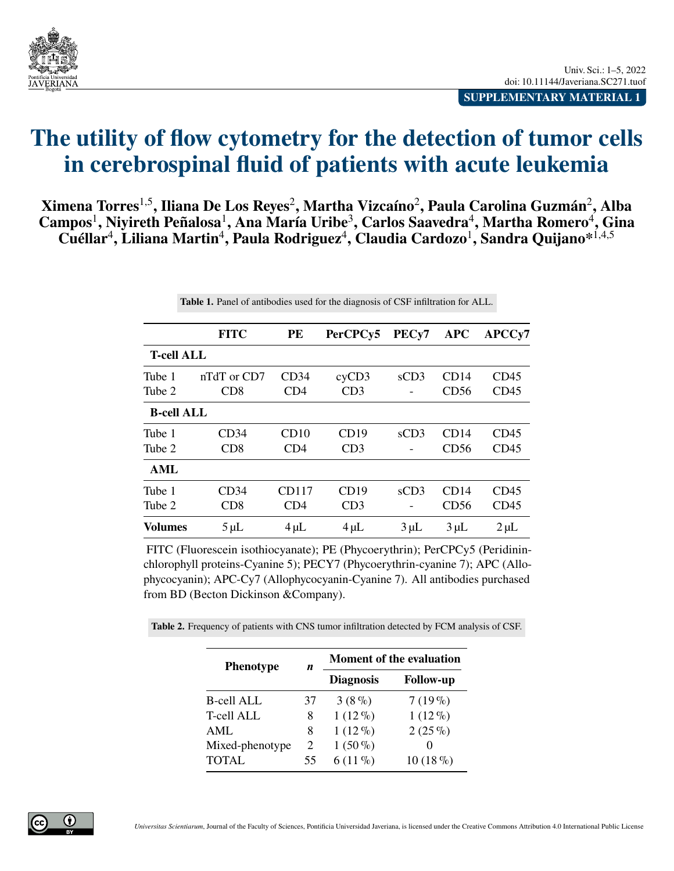<span id="page-0-0"></span>

**SUPPLEMENTARY MATERIAL 1**

## **The utility of flow cytometry for the detection of tumor cells in cerebrospinal fluid of patients with acute leukemia**

**Ximena Torres**1,5**, Iliana De Los Reyes**<sup>2</sup> **, Martha Vizcaíno**<sup>2</sup> **, Paula Carolina Guzmán**<sup>2</sup> **, Alba**  $\textbf{Campos}^1, \textbf{Niyireth Peñalosa}^1, \textbf{Ana María Uribe}^3, \textbf{Carlos Saavedra}^4, \textbf{Martha Romero}^4, \textbf{Gina}$  $\mathbf{C}$ uéllar<sup>4</sup>, Liliana Martin<sup>4</sup>, Paula Rodriguez<sup>4</sup>, Claudia Cardozo<sup>1</sup>, Sandra Quijano\*<sup>1,4,5</sup>

**Table 1.** Panel of antibodies used for the diagnosis of CSF infiltration for ALL.

|                   | <b>FITC</b>      | PE        | PerCPCy5  | PEC <sub>y</sub> 7 | <b>APC</b> | APCC <sub>v</sub> 7 |
|-------------------|------------------|-----------|-----------|--------------------|------------|---------------------|
| <b>T-cell ALL</b> |                  |           |           |                    |            |                     |
| Tube 1            | nTdT or CD7      | CD34      | cyCD3     | sCD3               | CD14       | CD45                |
| Tube 2            | CD <sub>8</sub>  | CD4       | CD3       |                    | CD56       | CD45                |
| <b>B-cell ALL</b> |                  |           |           |                    |            |                     |
| Tube 1            | CD34             | CD10      | CD19      | sCD3               | CD14       | CD45                |
| Tube 2            | CD8              | CD4       | CD3       |                    | CD56       | CD45                |
| AML               |                  |           |           |                    |            |                     |
| Tube 1            | CD34             | CD117     | CD19      | sCD3               | CD14       | CD45                |
| Tube 2            | C <sub>D</sub> 8 | CD4       | CD3       |                    | CD56       | CD45                |
| <b>Volumes</b>    | $5 \mu L$        | $4 \mu L$ | $4 \mu L$ | $3 \mu L$          | $3 \mu L$  | $2 \mu L$           |

FITC (Fluorescein isothiocyanate); PE (Phycoerythrin); PerCPCy5 (Peridininchlorophyll proteins-Cyanine 5); PECY7 (Phycoerythrin-cyanine 7); APC (Allophycocyanin); APC-Cy7 (Allophycocyanin-Cyanine 7). All antibodies purchased from BD (Becton Dickinson &Company).

**Table 2.** Frequency of patients with CNS tumor infiltration detected by FCM analysis of CSF.

| <b>Phenotype</b>  | n  | <b>Moment of the evaluation</b> |                  |  |
|-------------------|----|---------------------------------|------------------|--|
|                   |    | <b>Diagnosis</b>                | <b>Follow-up</b> |  |
| <b>B-cell ALL</b> | 37 | $3(8\%)$                        | $7(19\%)$        |  |
| <b>T-cell ALL</b> | 8  | $1(12\%)$                       | $1(12\%)$        |  |
| AML               | 8  | $1(12\%)$                       | $2(25\%)$        |  |
| Mixed-phenotype   | 2  | $1(50\%)$                       |                  |  |
| <b>TOTAL</b>      | 55 | $6(11\%)$                       | $10(18\%)$       |  |

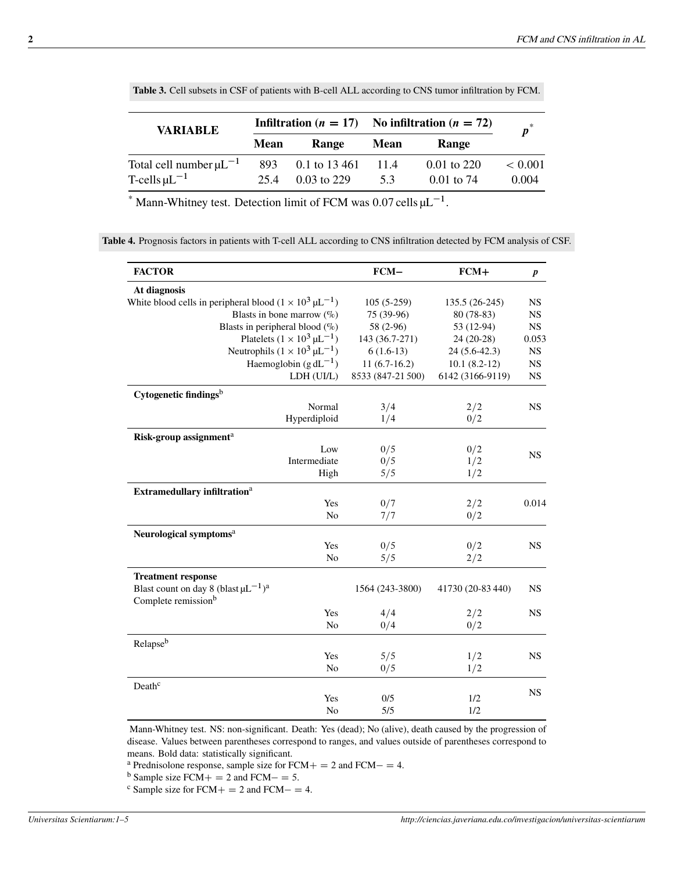| <b>VARIABLE</b>                                        |             |                                | Infiltration ( $n = 17$ ) No infiltration ( $n = 72$ ) |                               | $\boldsymbol{p}^*$   |
|--------------------------------------------------------|-------------|--------------------------------|--------------------------------------------------------|-------------------------------|----------------------|
|                                                        | <b>Mean</b> | Range                          | <b>Mean</b>                                            | Range                         |                      |
| Total cell number $\mu L^{-1}$<br>T-cells $\mu L^{-1}$ | 893<br>25.4 | 0.1 to 13 461<br>$0.03$ to 229 | 11.4<br>5.3                                            | $0.01$ to 220<br>$0.01$ to 74 | ${}< 0.001$<br>0.004 |

**Table 3.** Cell subsets in CSF of patients with B-cell ALL according to CNS tumor infiltration by FCM.

<sup>\*</sup> Mann-Whitney test. Detection limit of FCM was  $0.07$  cells  $\mu L^{-1}$ .

**Table 4.** Prognosis factors in patients with T-cell ALL according to CNS infiltration detected by FCM analysis of CSF.

| <b>FACTOR</b>                                                                              |                | $FCM-$            | $FCM+$            | $\boldsymbol{p}$ |
|--------------------------------------------------------------------------------------------|----------------|-------------------|-------------------|------------------|
| At diagnosis                                                                               |                |                   |                   |                  |
| White blood cells in peripheral blood $(1 \times 10^3 \,\mu L^{-1})$                       |                | $105(5-259)$      | 135.5 (26-245)    | <b>NS</b>        |
| Blasts in bone marrow $(\%)$                                                               |                | 75 (39-96)        | 80 (78-83)        | <b>NS</b>        |
| Blasts in peripheral blood $(\%)$                                                          |                | 58 (2-96)         | 53 (12-94)        | NS               |
| Platelets $(1 \times 10^3 \,\mu L^{-1})$                                                   |                | 143 (36.7-271)    | $24(20-28)$       | 0.053            |
| Neutrophils $(1 \times 10^3 \,\mu L^{-1})$                                                 |                | $6(1.6-13)$       | $24(5.6-42.3)$    | <b>NS</b>        |
| Haemoglobin $(g dL^{-1})$                                                                  |                | $11(6.7-16.2)$    | $10.1(8.2-12)$    | <b>NS</b>        |
| LDH (UI/L)                                                                                 |                | 8533 (847-21 500) | 6142 (3166-9119)  | <b>NS</b>        |
| Cytogenetic findings <sup>b</sup>                                                          |                |                   |                   |                  |
|                                                                                            | Normal         | 3/4               | 2/2               | <b>NS</b>        |
| Hyperdiploid                                                                               |                | 1/4               | 0/2               |                  |
| Risk-group assignment <sup>a</sup>                                                         |                |                   |                   |                  |
|                                                                                            | Low            | 0/5               | 0/2               | <b>NS</b>        |
| Intermediate                                                                               |                | 0/5               | 1/2               |                  |
|                                                                                            | High           | 5/5               | 1/2               |                  |
| Extramedullary infiltration <sup>a</sup>                                                   |                |                   |                   |                  |
|                                                                                            | Yes            | 0/7               | 2/2               | 0.014            |
|                                                                                            | No             | 7/7               | 0/2               |                  |
| Neurological symptoms <sup>a</sup>                                                         |                |                   |                   |                  |
|                                                                                            | Yes            | 0/5               | 0/2               | <b>NS</b>        |
|                                                                                            | N <sub>o</sub> | 5/5               | 2/2               |                  |
| <b>Treatment response</b>                                                                  |                |                   |                   |                  |
| Blast count on day 8 (blast $\mu L^{-1}$ ) <sup>a</sup><br>Complete remission <sup>b</sup> |                | 1564 (243-3800)   | 41730 (20-83 440) | <b>NS</b>        |
|                                                                                            | Yes            | 4/4               | 2/2               | <b>NS</b>        |
|                                                                                            | No             | 0/4               | 0/2               |                  |
| Relapseb                                                                                   |                |                   |                   |                  |
|                                                                                            | Yes            | 5/5               | 1/2               | <b>NS</b>        |
|                                                                                            | No             | 0/5               | 1/2               |                  |
| Death <sup>c</sup>                                                                         |                |                   |                   | <b>NS</b>        |
|                                                                                            | Yes            | 0/5               | 1/2               |                  |
|                                                                                            | N <sub>o</sub> | 5/5               | 1/2               |                  |

Mann-Whitney test. NS: non-significant. Death: Yes (dead); No (alive), death caused by the progression of disease. Values between parentheses correspond to ranges, and values outside of parentheses correspond to means. Bold data: statistically significant.

<sup>a</sup> Prednisolone response, sample size for  $FCM + = 2$  and  $FCM - = 4$ .

<sup>b</sup> Sample size FCM  $+ = 2$  and FCM  $- = 5$ .

<sup>c</sup> Sample size for FCM  $+ = 2$  and FCM  $- = 4$ .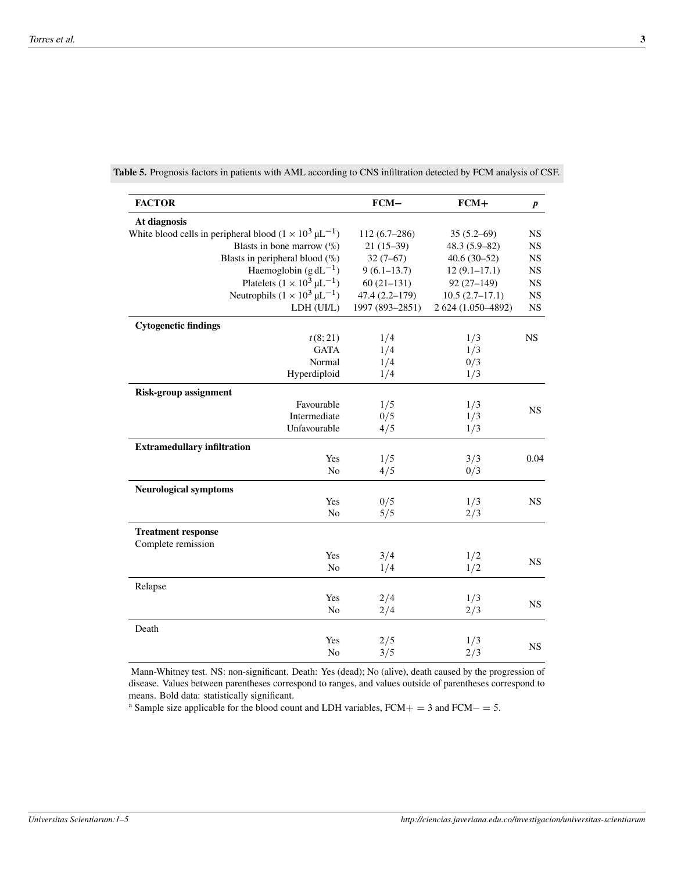| <b>FACTOR</b>                                                              | $FCM-$            | $FCM+$             | $\boldsymbol{p}$ |
|----------------------------------------------------------------------------|-------------------|--------------------|------------------|
| At diagnosis                                                               |                   |                    |                  |
| White blood cells in peripheral blood $(1 \times 10^3 \,\mu\text{L}^{-1})$ | $112(6.7-286)$    | $35(5.2 - 69)$     | <b>NS</b>        |
| Blasts in bone marrow $(\%)$                                               | $21(15-39)$       | $48.3(5.9-82)$     | <b>NS</b>        |
| Blasts in peripheral blood $(\%)$                                          | $32(7-67)$        | $40.6(30-52)$      | <b>NS</b>        |
| Haemoglobin $(g dL^{-1})$                                                  | $9(6.1 - 13.7)$   | $12(9.1 - 17.1)$   | <b>NS</b>        |
| Platelets $(1 \times 10^3 \,\mu L^{-1})$                                   | $60(21-131)$      | $92(27-149)$       | <b>NS</b>        |
| Neutrophils $(1 \times 10^3 \,\mu L^{-1})$                                 | $47.4(2.2 - 179)$ | $10.5(2.7-17.1)$   | <b>NS</b>        |
| LDH (UI/L)                                                                 | 1997 (893-2851)   | 2 624 (1.050-4892) | <b>NS</b>        |
| <b>Cytogenetic findings</b>                                                |                   |                    |                  |
| t(8; 21)                                                                   | 1/4               | 1/3                | <b>NS</b>        |
| <b>GATA</b>                                                                | 1/4               | 1/3                |                  |
| Normal                                                                     | 1/4               | 0/3                |                  |
| Hyperdiploid                                                               | 1/4               | 1/3                |                  |
| <b>Risk-group assignment</b>                                               |                   |                    |                  |
| Favourable                                                                 | 1/5               | 1/3                |                  |
| Intermediate                                                               | 0/5               | 1/3                | <b>NS</b>        |
| Unfavourable                                                               | 4/5               | 1/3                |                  |
| <b>Extramedullary infiltration</b>                                         |                   |                    |                  |
| Yes                                                                        | 1/5               | 3/3                | 0.04             |
| No                                                                         | 4/5               | 0/3                |                  |
| <b>Neurological symptoms</b>                                               |                   |                    |                  |
| Yes                                                                        | 0/5               | 1/3                | <b>NS</b>        |
| No                                                                         | 5/5               | 2/3                |                  |
| <b>Treatment response</b><br>Complete remission                            |                   |                    |                  |
| Yes                                                                        | 3/4               | 1/2                |                  |
| N <sub>0</sub>                                                             | 1/4               | 1/2                | <b>NS</b>        |
| Relapse                                                                    |                   |                    |                  |
| Yes                                                                        | 2/4               | 1/3                |                  |
| N <sub>o</sub>                                                             | 2/4               | 2/3                | <b>NS</b>        |
| Death                                                                      |                   |                    |                  |
| Yes                                                                        | 2/5               | 1/3                | <b>NS</b>        |
| No                                                                         | 3/5               | 2/3                |                  |

**Table 5.** Prognosis factors in patients with AML according to CNS infiltration detected by FCM analysis of CSF.

Mann-Whitney test. NS: non-significant. Death: Yes (dead); No (alive), death caused by the progression of disease. Values between parentheses correspond to ranges, and values outside of parentheses correspond to means. Bold data: statistically significant.

<sup>a</sup> Sample size applicable for the blood count and LDH variables,  $FCM+=3$  and  $FCM-=5$ .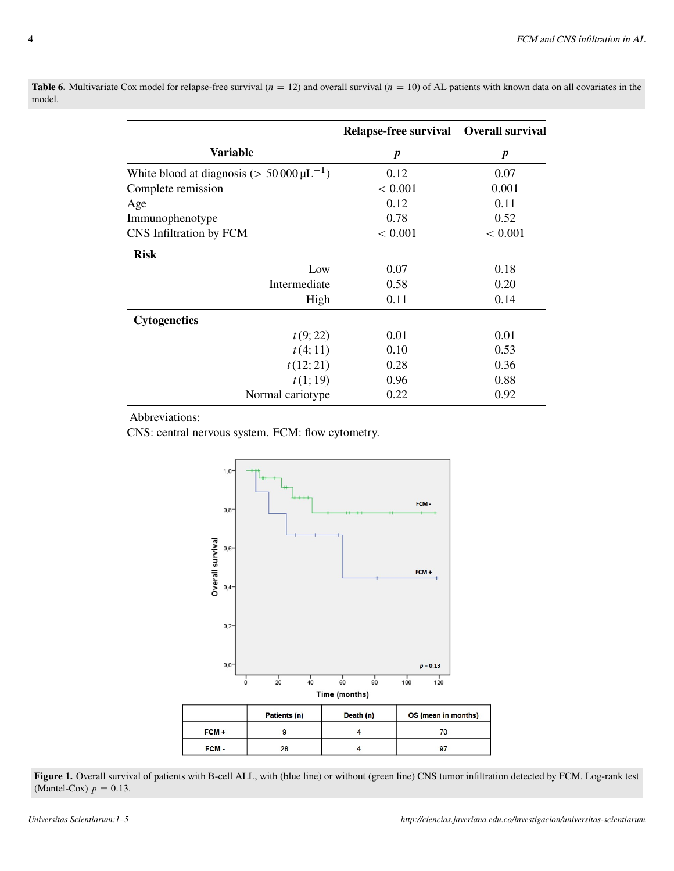|                                                     | Relapse-free survival Overall survival |                  |
|-----------------------------------------------------|----------------------------------------|------------------|
| <b>Variable</b>                                     | $\boldsymbol{p}$                       | $\boldsymbol{p}$ |
| White blood at diagnosis ( $> 50000 \,\mu L^{-1}$ ) | 0.12                                   | 0.07             |
| Complete remission                                  | < 0.001                                | 0.001            |
| Age                                                 | 0.12                                   | 0.11             |
| Immunophenotype                                     | 0.78                                   | 0.52             |
| CNS Infiltration by FCM                             | < 0.001                                | < 0.001          |
| <b>Risk</b>                                         |                                        |                  |
| Low                                                 | 0.07                                   | 0.18             |
| Intermediate                                        | 0.58                                   | 0.20             |
| High                                                | 0.11                                   | 0.14             |
| <b>Cytogenetics</b>                                 |                                        |                  |
| t(9; 22)                                            | 0.01                                   | 0.01             |
| t(4;11)                                             | 0.10                                   | 0.53             |
| t(12; 21)                                           | 0.28                                   | 0.36             |
| t(1;19)                                             | 0.96                                   | 0.88             |
| Normal cariotype                                    | 0.22                                   | 0.92             |

**Table 6.** Multivariate Cox model for relapse-free survival ( $n = 12$ ) and overall survival ( $n = 10$ ) of AL patients with known data on all covariates in the model.

Abbreviations:

CNS: central nervous system. FCM: flow cytometry.



**Figure 1.** Overall survival of patients with B-cell ALL, with (blue line) or without (green line) CNS tumor infiltration detected by FCM. Log-rank test (Mantel-Cox)  $p = 0.13$ .